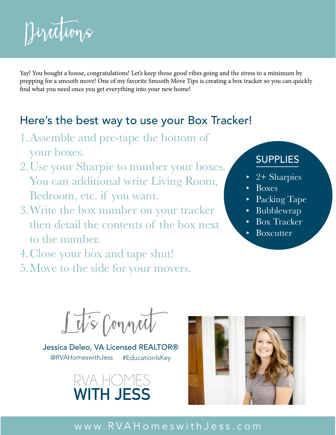

Yay! You bought a house, congratulations! Let's keep those good vibes going and the stress to a minimum by prepping for a smooth move! One of my favorite Smooth Move Tips is creating a box tracker so you can quickly find what you need once you get everything into your new home!

## Here's the best way to use your Box Tracker!

- 1. Assemble and pre-tape the bottom of your boxes.
- 2. Use your Sharpie to number your boxes. You can additional write Living Room, Bedroom, etc. if you want.
- 3. Write the box number on your tracker then detail the contents of the box next to the number.
- 4. Close your box and tape shut!
- 5. Move to the side for your movers.

## SUPPLIES

- • 2+ Sharpies
- • Boxes
- • Packing Tape
- • Bubblewrap
- • Box Tracker
- Boxcutter

**Let's Connect**

[@RVAHomeswithJess](http://www.instagram.com/rvahomeswithjess) Jessica Deleo, VA Licensed REALTOR® #EducationIsKey





[www.RVAHomeswithJess.com](http://www.rvahomeswithjess.com)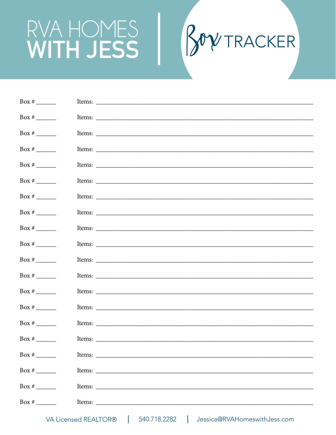## RVA HOMES<br>WITH JESS



| Box # $\frac{1}{\sqrt{2}}$                   |  |
|----------------------------------------------|--|
| Box # $\_\_\_\_\_\_\_\_\_\_\_\_\_\_\_\_\_\_$ |  |
| Box # $\_\_\_\_\_\_\_\_\_\_\_\_\_\_\_$       |  |
| Box # $\frac{1}{\sqrt{2}}$                   |  |
| Box # $\_\_\_\_\_\_\_\_\_\_\_\_\_\_\_$       |  |
| Box # $\frac{1}{\sqrt{2}}$                   |  |
| Box # $\_\_\_\_\_\_\_\_\_\_\_\_\_\_\_$       |  |
| Box # $\frac{1}{\sqrt{2}}$                   |  |
| Box # $\qquad$                               |  |
| Box # $\frac{1}{\sqrt{2}}$                   |  |
| Box # $\_\_\_\_\_\_\_\_\_\_\_\_\_\_$         |  |
| Box # $\_\_\_\_\_\_\_\_\_\_\_\_\_\_\_$       |  |
| Box # $\frac{1}{\sqrt{2}}$                   |  |
| Box # $\qquad$                               |  |
| Box # $\frac{1}{\sqrt{2}}$                   |  |
| Box # $\frac{1}{\sqrt{2}}$                   |  |
| Box # $\frac{1}{\sqrt{2}}$                   |  |
| Box # $\frac{1}{\sqrt{2\pi}}$                |  |
| Box # $\qquad$                               |  |
| Box # $\frac{1}{\sqrt{2}}$                   |  |